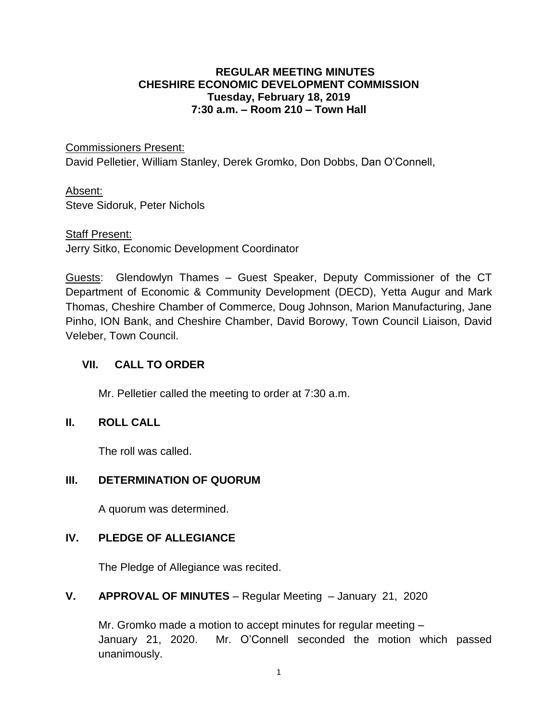#### **REGULAR MEETING MINUTES CHESHIRE ECONOMIC DEVELOPMENT COMMISSION Tuesday, February 18, 2019 7:30 a.m. – Room 210 – Town Hall**

Commissioners Present:

David Pelletier, William Stanley, Derek Gromko, Don Dobbs, Dan O'Connell,

#### Absent:

Steve Sidoruk, Peter Nichols

#### Staff Present:

Jerry Sitko, Economic Development Coordinator

Guests: Glendowlyn Thames – Guest Speaker, Deputy Commissioner of the CT Department of Economic & Community Development (DECD), Yetta Augur and Mark Thomas, Cheshire Chamber of Commerce, Doug Johnson, Marion Manufacturing, Jane Pinho, ION Bank, and Cheshire Chamber, David Borowy, Town Council Liaison, David Veleber, Town Council.

### **VII. CALL TO ORDER**

Mr. Pelletier called the meeting to order at 7:30 a.m.

### **II. ROLL CALL**

The roll was called.

### **III. DETERMINATION OF QUORUM**

A quorum was determined.

### **IV. PLEDGE OF ALLEGIANCE**

The Pledge of Allegiance was recited.

#### **V. APPROVAL OF MINUTES** – Regular Meeting – January 21, 2020

Mr. Gromko made a motion to accept minutes for regular meeting – January 21, 2020. Mr. O'Connell seconded the motion which passed unanimously.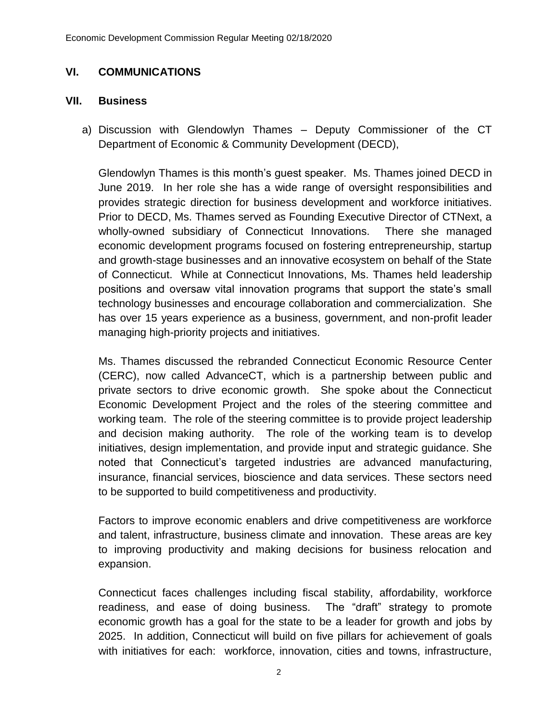## **VI. COMMUNICATIONS**

#### **VII. Business**

a) Discussion with Glendowlyn Thames – Deputy Commissioner of the CT Department of Economic & Community Development (DECD),

Glendowlyn Thames is this month's guest speaker. Ms. Thames joined DECD in June 2019. In her role she has a wide range of oversight responsibilities and provides strategic direction for business development and workforce initiatives. Prior to DECD, Ms. Thames served as Founding Executive Director of CTNext, a wholly-owned subsidiary of Connecticut Innovations. There she managed economic development programs focused on fostering entrepreneurship, startup and growth-stage businesses and an innovative ecosystem on behalf of the State of Connecticut. While at Connecticut Innovations, Ms. Thames held leadership positions and oversaw vital innovation programs that support the state's small technology businesses and encourage collaboration and commercialization. She has over 15 years experience as a business, government, and non-profit leader managing high-priority projects and initiatives.

Ms. Thames discussed the rebranded Connecticut Economic Resource Center (CERC), now called AdvanceCT, which is a partnership between public and private sectors to drive economic growth. She spoke about the Connecticut Economic Development Project and the roles of the steering committee and working team. The role of the steering committee is to provide project leadership and decision making authority. The role of the working team is to develop initiatives, design implementation, and provide input and strategic guidance. She noted that Connecticut's targeted industries are advanced manufacturing, insurance, financial services, bioscience and data services. These sectors need to be supported to build competitiveness and productivity.

Factors to improve economic enablers and drive competitiveness are workforce and talent, infrastructure, business climate and innovation. These areas are key to improving productivity and making decisions for business relocation and expansion.

Connecticut faces challenges including fiscal stability, affordability, workforce readiness, and ease of doing business. The "draft" strategy to promote economic growth has a goal for the state to be a leader for growth and jobs by 2025. In addition, Connecticut will build on five pillars for achievement of goals with initiatives for each: workforce, innovation, cities and towns, infrastructure,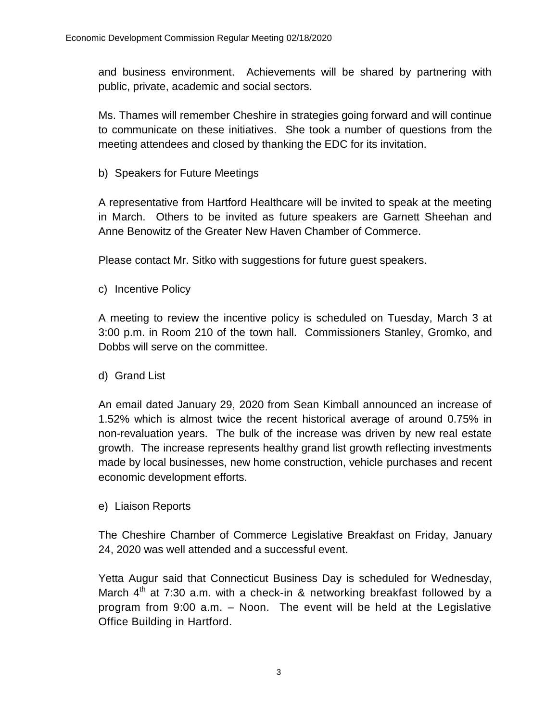and business environment. Achievements will be shared by partnering with public, private, academic and social sectors.

Ms. Thames will remember Cheshire in strategies going forward and will continue to communicate on these initiatives. She took a number of questions from the meeting attendees and closed by thanking the EDC for its invitation.

b) Speakers for Future Meetings

A representative from Hartford Healthcare will be invited to speak at the meeting in March. Others to be invited as future speakers are Garnett Sheehan and Anne Benowitz of the Greater New Haven Chamber of Commerce.

Please contact Mr. Sitko with suggestions for future guest speakers.

c) Incentive Policy

A meeting to review the incentive policy is scheduled on Tuesday, March 3 at 3:00 p.m. in Room 210 of the town hall. Commissioners Stanley, Gromko, and Dobbs will serve on the committee.

d) Grand List

An email dated January 29, 2020 from Sean Kimball announced an increase of 1.52% which is almost twice the recent historical average of around 0.75% in non-revaluation years. The bulk of the increase was driven by new real estate growth. The increase represents healthy grand list growth reflecting investments made by local businesses, new home construction, vehicle purchases and recent economic development efforts.

e) Liaison Reports

The Cheshire Chamber of Commerce Legislative Breakfast on Friday, January 24, 2020 was well attended and a successful event.

Yetta Augur said that Connecticut Business Day is scheduled for Wednesday, March  $4<sup>th</sup>$  at 7:30 a.m. with a check-in & networking breakfast followed by a program from 9:00 a.m. – Noon. The event will be held at the Legislative Office Building in Hartford.